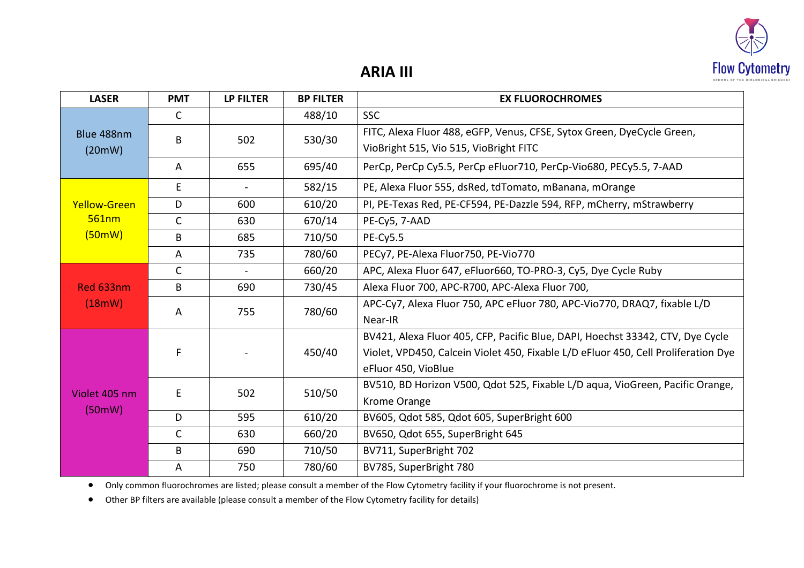

## **ARIA III**

| <b>LASER</b>                           | <b>PMT</b>   | <b>LP FILTER</b>         | <b>BP FILTER</b> | <b>EX FLUOROCHROMES</b>                                                            |
|----------------------------------------|--------------|--------------------------|------------------|------------------------------------------------------------------------------------|
| Blue 488nm<br>(20mW)                   | $\mathsf{C}$ |                          | 488/10           | <b>SSC</b>                                                                         |
|                                        | B            | 502                      | 530/30           | FITC, Alexa Fluor 488, eGFP, Venus, CFSE, Sytox Green, DyeCycle Green,             |
|                                        |              |                          |                  | VioBright 515, Vio 515, VioBright FITC                                             |
|                                        | A            | 655                      | 695/40           | PerCp, PerCp Cy5.5, PerCp eFluor710, PerCp-Vio680, PECy5.5, 7-AAD                  |
| <b>Yellow-Green</b><br>561nm<br>(50mW) | E            | $\overline{\phantom{0}}$ | 582/15           | PE, Alexa Fluor 555, dsRed, tdTomato, mBanana, mOrange                             |
|                                        | D            | 600                      | 610/20           | PI, PE-Texas Red, PE-CF594, PE-Dazzle 594, RFP, mCherry, mStrawberry               |
|                                        | $\mathsf{C}$ | 630                      | 670/14           | PE-Cy5, 7-AAD                                                                      |
|                                        | B            | 685                      | 710/50           | $PE-Cy5.5$                                                                         |
|                                        | A            | 735                      | 780/60           | PECy7, PE-Alexa Fluor750, PE-Vio770                                                |
|                                        | $\mathsf{C}$ | $\blacksquare$           | 660/20           | APC, Alexa Fluor 647, eFluor660, TO-PRO-3, Cy5, Dye Cycle Ruby                     |
| Red 633nm                              | B            | 690                      | 730/45           | Alexa Fluor 700, APC-R700, APC-Alexa Fluor 700,                                    |
| (18mW)                                 | A            | 755                      | 780/60           | APC-Cy7, Alexa Fluor 750, APC eFluor 780, APC-Vio770, DRAQ7, fixable L/D           |
|                                        |              |                          |                  | Near-IR                                                                            |
| Violet 405 nm<br>(50mW)                | F            |                          | 450/40           | BV421, Alexa Fluor 405, CFP, Pacific Blue, DAPI, Hoechst 33342, CTV, Dye Cycle     |
|                                        |              |                          |                  | Violet, VPD450, Calcein Violet 450, Fixable L/D eFluor 450, Cell Proliferation Dye |
|                                        |              |                          |                  | eFluor 450, VioBlue                                                                |
|                                        | E            | 502                      | 510/50           | BV510, BD Horizon V500, Qdot 525, Fixable L/D aqua, VioGreen, Pacific Orange,      |
|                                        |              |                          |                  | Krome Orange                                                                       |
|                                        | D            | 595                      | 610/20           | BV605, Qdot 585, Qdot 605, SuperBright 600                                         |
|                                        | $\mathsf{C}$ | 630                      | 660/20           | BV650, Qdot 655, SuperBright 645                                                   |
|                                        | B            | 690                      | 710/50           | BV711, SuperBright 702                                                             |
|                                        | A            | 750                      | 780/60           | BV785, SuperBright 780                                                             |

• Only common fluorochromes are listed; please consult a member of the Flow Cytometry facility if your fluorochrome is not present.

• Other BP filters are available (please consult a member of the Flow Cytometry facility for details)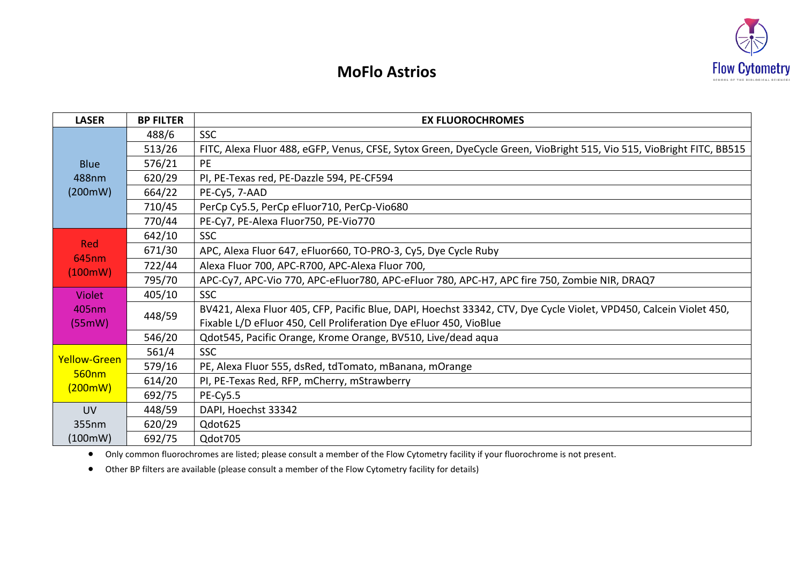

## **MoFlo Astrios**

| <b>LASER</b>                            | <b>BP FILTER</b> | <b>EX FLUOROCHROMES</b>                                                                                              |  |  |  |  |  |
|-----------------------------------------|------------------|----------------------------------------------------------------------------------------------------------------------|--|--|--|--|--|
| <b>Blue</b><br>488nm<br>(200mW)         | 488/6            | <b>SSC</b>                                                                                                           |  |  |  |  |  |
|                                         | 513/26           | FITC, Alexa Fluor 488, eGFP, Venus, CFSE, Sytox Green, DyeCycle Green, VioBright 515, Vio 515, VioBright FITC, BB515 |  |  |  |  |  |
|                                         | 576/21           | PE                                                                                                                   |  |  |  |  |  |
|                                         | 620/29           | PI, PE-Texas red, PE-Dazzle 594, PE-CF594                                                                            |  |  |  |  |  |
|                                         | 664/22           | PE-Cy5, 7-AAD                                                                                                        |  |  |  |  |  |
|                                         | 710/45           | PerCp Cy5.5, PerCp eFluor710, PerCp-Vio680                                                                           |  |  |  |  |  |
|                                         | 770/44           | PE-Cy7, PE-Alexa Fluor750, PE-Vio770                                                                                 |  |  |  |  |  |
| Red<br>645nm<br>(100mW)                 | 642/10           | <b>SSC</b>                                                                                                           |  |  |  |  |  |
|                                         | 671/30           | APC, Alexa Fluor 647, eFluor660, TO-PRO-3, Cy5, Dye Cycle Ruby                                                       |  |  |  |  |  |
|                                         | 722/44           | Alexa Fluor 700, APC-R700, APC-Alexa Fluor 700,                                                                      |  |  |  |  |  |
|                                         | 795/70           | APC-Cy7, APC-Vio 770, APC-eFluor780, APC-eFluor 780, APC-H7, APC fire 750, Zombie NIR, DRAQ7                         |  |  |  |  |  |
| <b>Violet</b>                           | 405/10           | <b>SSC</b>                                                                                                           |  |  |  |  |  |
| 405nm<br>(55mW)                         | 448/59           | BV421, Alexa Fluor 405, CFP, Pacific Blue, DAPI, Hoechst 33342, CTV, Dye Cycle Violet, VPD450, Calcein Violet 450,   |  |  |  |  |  |
|                                         |                  | Fixable L/D eFluor 450, Cell Proliferation Dye eFluor 450, VioBlue                                                   |  |  |  |  |  |
|                                         | 546/20           | Qdot545, Pacific Orange, Krome Orange, BV510, Live/dead aqua                                                         |  |  |  |  |  |
| Yellow-Green<br><b>560nm</b><br>(200mW) | 561/4            | <b>SSC</b>                                                                                                           |  |  |  |  |  |
|                                         | 579/16           | PE, Alexa Fluor 555, dsRed, tdTomato, mBanana, mOrange                                                               |  |  |  |  |  |
|                                         | 614/20           | PI, PE-Texas Red, RFP, mCherry, mStrawberry                                                                          |  |  |  |  |  |
|                                         | 692/75           | $PE-Cy5.5$                                                                                                           |  |  |  |  |  |
| <b>UV</b>                               | 448/59           | DAPI, Hoechst 33342                                                                                                  |  |  |  |  |  |
| 355nm                                   | 620/29           | Qdot625                                                                                                              |  |  |  |  |  |
| (100mW)                                 | 692/75           | Qdot705                                                                                                              |  |  |  |  |  |

• Only common fluorochromes are listed; please consult a member of the Flow Cytometry facility if your fluorochrome is not present.

• Other BP filters are available (please consult a member of the Flow Cytometry facility for details)